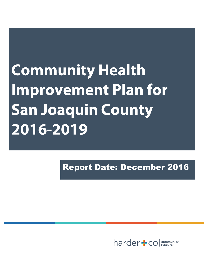**Community Health Improvement Plan for San Joaquin County** 2016-2019

Report Date: December 2016

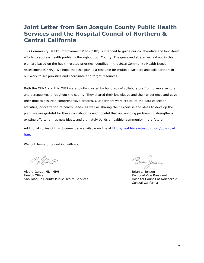### **Joint Letter from San Joaquin County Public Health Services and the Hospital Council of Northern & Central California**

This Community Health Improvement Plan (CHIP) is intended to guide our collaborative and long-term efforts to address health problems throughout our County. The goals and strategies laid out in this plan are based on the health-related priorities identified in the 2016 Community Health Needs Assessment (CHNA). We hope that this plan is a resource for multiple partners and collaborators in our work to set priorities and coordinate and target resources.

Both the CHNA and this CHIP were jointly created by hundreds of collaborators from diverse sectors and perspectives throughout the county. They shared their knowledge and their experience and gave their time to assure a comprehensive process. Our partners were critical to the data collection activities, prioritization of health needs, as well as sharing their expertise and ideas to develop the plan. We are grateful for these contributions and hopeful that our ongoing partnership strengthens existing efforts, brings new ideas, and ultimately builds a healthier community in the future.

Additional copies of this document are available on line at http://healthiersanjoaquin. org/download. [htm.](http://healthiersanjoaquin.org/download.htm)

We look forward to working with you.

Alvaro Garza, MD, MPH Brian L. Jensen Health Officer **Regional Vice President** San Joaquin County Public Health Services **Hospital Council of Northern &** 

Central California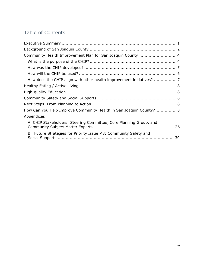### Table of Contents

| Community Health Improvement Plan for San Joaquin County  4        |  |
|--------------------------------------------------------------------|--|
|                                                                    |  |
|                                                                    |  |
|                                                                    |  |
|                                                                    |  |
|                                                                    |  |
|                                                                    |  |
|                                                                    |  |
|                                                                    |  |
| How Can You Help Improve Community Health in San Joaquin County? 8 |  |
| Appendices                                                         |  |
| A. CHIP Stakeholders: Steering Committee, Core Planning Group, and |  |
| B. Future Strategies for Priority Issue #3: Community Safety and   |  |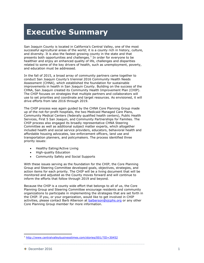# **Executive Summary**

San Joaquin County is located in California's Central Valley, one of the most successful agricultural areas of the world; it is a county rich in history, culture, and diversity. It is also the fastest growing county in the state and that presents both opportunities and challenges.<sup>1</sup> In order for everyone to be healthier and enjoy an enhanced quality of life, challenges and disparities related to some of the key drivers of health, such as unemployment, poverty, and education must be addressed.

In the fall of 2015, a broad array of community partners came together to conduct San Joaquin County's triennial 2016 Community Health Needs Assessment (CHNA), which established the foundation for sustainable improvements in health in San Joaquin County. Building on the success of the CHNA, San Joaquin created its Community Health Improvement Plan (CHIP). The CHIP focuses on strategies that multiple partners and collaborators will use to set priorities and coordinate and target resources. As envisioned, it will drive efforts from late 2016 through 2019.

The CHIP process was again guided by the CHNA Core Planning Group made up of the not-for-profit hospitals, the two Medicaid Managed Care Plans, Community Medical Centers (federally qualified health centers), Public Health Services, First 5 San Joaquin, and Community Partnerships for Families. The CHIP process also engaged its broadly representative CHNA Steering Committee as well as additional subject matter experts, which altogether included health and social service providers, educators, behavioral health and affordable housing advocates, law enforcement officers, land use and transportation planners, and policymakers. The process identified three priority issues:

- Healthy Eating/Active Living
- High-quality Education
- Community Safety and Social Supports

With these issues serving as the foundation for the CHIP, the Core Planning Group and Steering Committee developed goals, objectives, strategies, and action items for each priority. The CHIP will be a living document that will be monitored and adjusted as the County moves forward and will continue to inform the efforts that follow through 2019 and beyond.

Because the CHIP is a county wide effort that belongs to all of us, the Core Planning Group and Steering Committee encourage residents and community organizations to participate in implementing the strategies that are set forth in the CHIP. If you, or your organization, would like to get involved in CHIP activities, please contact Barb Alberson at [balberson@sjcphs.org](mailto:balberson@sjcphs.org) or any other Core Planning Group member for more information.

<sup>&</sup>lt;sup>1</sup> <http://www.centralvalleybusinesstimes.com/stories/001/?ID=30452>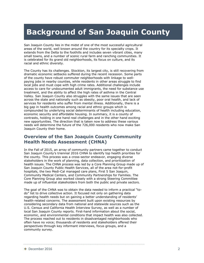# **Background of San Joaquin County**

San Joaquin County lies in the midst of one of the most successful agricultural areas of the world, well known around the country for its specialty crops. It extends from the Delta to the foothills and includes seven vibrant cities, many small towns, and a number of scenic rural farm and ranching communities. It is celebrated for its grand old neighborhoods, its focus on culture, and its racial and ethnic diversity.

The County has its challenges. Stockton, its largest city, is still recovering from dramatic economic setbacks suffered during the recent recession. Some parts of the county have robust commuter neighborhoods with linkage to wellpaying jobs in nearby counties, while residents in other areas struggle to find local jobs and must cope with high crime rates. Additional challenges include access to care for undocumented adult immigrants, the need for substance use treatment, and the ability to affect the high rates of asthma in the Central Valley. San Joaquin County also struggles with the same issues that are seen across the state and nationally such as obesity, poor oral health, and lack of services for residents who suffer from mental illness. Additionally, there is a big gap in health outcomes among racial and ethnic groups which is compounded by underlying social determinants of health including education, economic security and affordable housing. In summary, it is a county of contrasts, holding in one hand real challenges and in the other hand exciting new opportunities. The direction that is taken now to address these various needs will determine the future of the 726,000 residents who now make San Joaquin County their home.

### **Overview of the San Joaquin County Community Health Needs Assessment (CHNA)**

In the Fall of 2015, an array of community partners came together to conduct San Joaquin County's triennial 2016 CHNA to identify top health priorities for the county. This process was a cross-sector endeavor, engaging diverse stakeholders in the work of planning, data collection, and prioritization of health issues. The CHNA process was led by a Core Planning Group made up of San Joaquin County Public Health Services, all of the area not-for-profit hospitals, the two Medi-Cal managed care plans, First 5 San Joaquin, Community Medical Centers, and Community Partnerships for Families. The Core Planning Group also worked closely with a strong Steering Committee made up of influential stakeholders from both the public and private sectors.

The goal of the CHNA was to obtain the data needed to inform a practical "todo" list to drive collective action. It focused not only on gathering data regarding health needs but on gaining a better understanding of residents' health-related concerns. The assessment built upon existing resources by considering secondary data from national and statewide sources such as the U.S. Census and California Health Interview Survey, as well as a number of local San Joaquin County reports. First-hand information about the social, economic, and environmental conditions that impact health was also collected. The process reached out to residents in disadvantaged neighborhoods who often have no voice; thousands of residents and stakeholders offered their perspectives through key informant interviews, focus groups, and a community survey.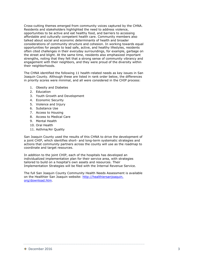Cross-cutting themes emerged from community voices captured by the CHNA. Residents and stakeholders highlighted the need to address violence, opportunities to be active and eat healthy food, and barriers to accessing affordable and culturally competent health care. Community members also talked about social and economic determinants of health and broader considerations of community structure and cohesion. In working towards equal opportunities for people to lead safe, active, and healthy lifestyles, residents often cited challenges in their everyday surroundings, for example, garbage on the street and blight. At the same time, residents also emphasized important strengths, noting that they felt that a strong sense of community vibrancy and engagement with their neighbors, and they were proud of the diversity within their neighborhoods.

The CHNA identified the following 11 health-related needs as key issues in San Joaquin County. Although these are listed in rank order below, the differences in priority scores were minimal, and all were considered in the CHIP process:

- 1. Obesity and Diabetes
- 2. Education
- 3. Youth Growth and Development
- 4. Economic Security
- 5. Violence and Injury
- 6. Substance Use
- 7. Access to Housing
- 8. Access to Medical Care
- 9. Mental Health
- 10. Oral Health
- 11. Asthma/Air Quality

San Joaquin County used the results of this CHNA to drive the development of a joint CHIP, which identifies short- and long-term systematic strategies and actions that community partners across the county will use as the roadmap to coordinate and target resources.

In addition to the joint CHIP, each of the hospitals has developed an individualized implementation plan for their service area, with strategies tailored to build on a hospital's own assets and resources. Their Implementation Strategies will be filed with the Internal Revenue Service.

The full San Joaquin County Community Health Needs Assessment is available on the Healthier San Joaquin website: http://healthiersanjoaquin. org/download.htm.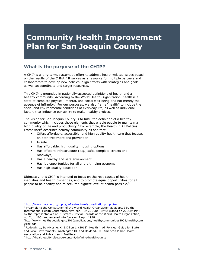## **Community Health Improvement Plan for San Joaquin County**

### <span id="page-6-0"></span>**What is the purpose of the CHIP?**

A CHIP is a long-term, systematic effort to address health-related issues based on the results of the CHNA.<sup>2</sup> It serves as a resource for multiple partners and collaborators to develop new policies, align efforts with strategies and goals, as well as coordinate and target resources.

This CHIP is grounded in nationally-accepted definitions of health and a healthy community. According to the World Health Organization, health is a state of complete physical, mental, and social well-being and not merely the absence of infirmity.<sup>3</sup> For our purposes, we also frame "health" to include the social and environmental conditions of everyday life, as well as individual factors that influence our ability to make healthy choices.

The vision for San Joaquin County is to fulfill the definition of a healthy community which includes those elements that enable people to maintain a high quality of life and productivity.<sup>4</sup> For example, the Health in All Policies Framework<sup>5</sup> describes healthy community as one that:

- Offers affordable, accessible, and high quality health care that focuses on both treatment and prevention
- **Is safe**
- **Has affordable, high quality, housing options**
- Has efficient infrastructure (e.g., safe, complete streets and roadways)
- Has a healthy and safe environment
- Has job opportunities for all and a thriving economy
- Has high-quality education

Ultimately, this CHIP is intended to focus on the root causes of health inequities and health disparities, and to promote equal opportunities for all people to be healthy and to seek the highest level of health possible.<sup>6</sup>

<sup>&</sup>lt;sup>2</sup> <http://www.naccho.org/topics/infrastructure/accreditation/chip.cfm>

<sup>&</sup>lt;sup>3</sup> Preamble to the Constitution of the World Health Organization as adopted by the International Health Conference, New York, 19-22 June, 1946; signed on 22 July 1946 by the representatives of 61 States (Official Records of the World Health Organization, no. 2, p. 100) and entered into force on 7 April 1948.

<sup>4</sup>http://www.healthypeople.gov/2010/publications/healthycommunities2001/healthycom 01hk.pdf

<sup>&</sup>lt;sup>5</sup> Rudolph, L., Ben-Moshe, K. & Dillon L. (2013). Health in All Policies: Guide for State and Local Governments. Washington DC and Oakland, CA: American Public Health Association and Public Health Institute.

<sup>6</sup> http://healthequity.sfsu.edu/content/defining-health-equity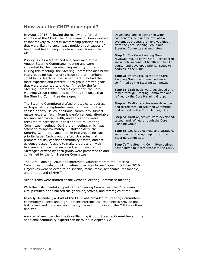### <span id="page-7-0"></span>**How was the CHIP developed?**

In August 2016, following the review and formal adoption of the CHNA, the Core Planning Group worked collaboratively to identify overarching priority issues that were likely to encompass multiple root causes of health and health inequities to address through the CHIP.

Priority issues were refined and confirmed at the August Steering Committee meeting and were supported by the overwhelming majority of the group. During this meeting, the Steering Committee also broke into groups for each priority issue so that members could focus deeply on the issue where they had the most expertise and interest. Each group drafted goals that were presented to and confirmed by the full Steering Committee. In early September, the Core Planning Group refined and confirmed the goals that the Steering Committee developed.

The Steering Committee drafted strategies to address each goal at the September meeting. Based on the chosen priority issues, additional community subject matter experts, (e.g., from law enforcement, affordable housing, behavioral health, and education), were recruited to participate in this and future Steering Committee meetings. During the meeting, which was attended by approximately 50 stakeholders, the Steering Committee again broke into groups for each priority issue. Each group drafted strategies that promote equity, consider community assets, and are evidence-based, feasible to make progress on within five years, and can be sustained, and measured. Strategies drafted by each group were presented to and confirmed by the full Steering Committee.

Developing and selecting the CHIP components, outlined below, was a systematic process that involved input from the Core Planning Group and Steering Committee at each step.

**Step 1:** The Core Planning Group reviewed results of the CHNA, considered social determinants of health and health equity, and developed priority issues to address in the CHIP.

**Step 2:** Priority issues that the Core Planning Group recommended were confirmed by the Steering Committee.

**Step 3: Draft goals were developed and** tested through Steering Committee and refined by the Core Planning Group.

**Step 4:** Draft strategies were developed and tested through Steering Committee and refined by the Core Planning Group.

**Step 5:** Draft objectives were developed, tested, and refined through the Core Planning Group.

**Step 6:** Goals, objectives, and strategies were finalized through input from the Steering Committee.

**Step 7:** The Steering Committee defined action items to incorporate into the CHIP.

The Core Planning Group and interested volunteers from the Steering Committee provided input to define objectives for each goal in October 2016. Objectives were selected to be specific, measurable, actionable, reasonable, and time-bound (SMART).

Action items were drafted at the October Steering Committee meeting.

With the instrumental support of the Steering Committee, the Core Planning Group refined and finalized the goals, objectives, and strategies of the CHIP.

In early December, a draft of the CHIP was provided to Steering Committee/ community experts and a group teleconference call was held to provide one last review and comment opportunity. Based on this input, the CHIP was then finalized.

A roster of members for the Core Planning Group, Steering Committee and the additional community experts can be found in Appendix A..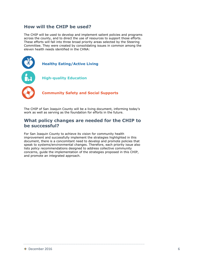### <span id="page-8-0"></span>**How will the CHIP be used?**

The CHIP will be used to develop and implement salient policies and programs across the county, and to direct the use of resources to support those efforts. These efforts will fall into three broad priority areas selected by the Steering Committee. They were created by consolidating issues in common among the eleven health needs identified in the CHNA:



The CHIP of San Joaquin County will be a living document, informing today's work as well as serving as the foundation for efforts in the future.

### **What policy changes are needed for the CHIP to be successful?**

For San Joaquin County to achieve its vision for community health improvement and successfully implement the strategies highlighted in this document, there is a concomitant need to develop and promote policies that speak to systems/environmental changes. Therefore, each priority issue also lists policy recommendations designed to address collective community concerns, guide the implementation of the strategies proposed in this CHIP, and promote an integrated approach.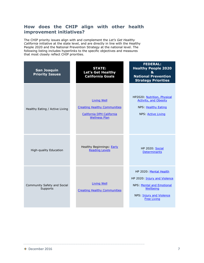### <span id="page-9-0"></span>**How does the CHIP align with other health improvement initiatives?**

The CHIP priority issues align with and complement the *Let's Get Healthy California* initiative at the state level, and are directly in line with the Healthy People 2020 and the National Prevention Strategy at the national level. The following listing includes hyperlinks to the specific objectives and measures that most closely reflect CHIP priorities.

| <b>San Joaquin</b><br><b>Priority Issues</b> | <b>STATE:</b><br>Let's Get Healthy<br><b>California Goals</b>                                                  | <b>FEDERAL:</b><br><b>Healthy People 2020</b><br>$\mathbf{g}$<br><b>National Prevention</b><br><b>Strategy Priorities</b>                                 |
|----------------------------------------------|----------------------------------------------------------------------------------------------------------------|-----------------------------------------------------------------------------------------------------------------------------------------------------------|
| Healthy Eating / Active Living               | <b>Living Well</b><br><b>Creating Healthy Communities</b><br>California DPH California<br><b>Wellness Plan</b> | HP2020: Nutrition, Physical<br><b>Activity, and Obesity</b><br>NPS: Healthy Eating<br>NPS: Active Living                                                  |
| High-quality Education                       | Healthy Beginnings: Early<br><b>Reading Levels</b>                                                             | <b>HP 2020: Social</b><br><b>Determinants</b>                                                                                                             |
| Community Safety and Social<br>Supports      | <b>Living Well</b><br><b>Creating Healthy Communities</b>                                                      | HP 2020: Mental Health<br>HP 2020: Injury and Violence<br>NPS: Mental and Emotional<br><b>Wellbeing</b><br>NPS: Injury and Violence<br><b>Free Living</b> |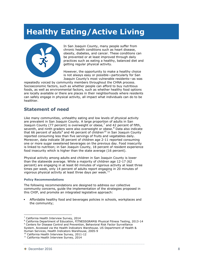# **Healthy Eating/Active Living**



In San Joaquin County, many people suffer from chronic health conditions such as heart disease, obesity, diabetes, and cancer. These conditions can be prevented or at least improved through daily practices such as eating a healthy, balanced diet and getting regular physical activity.

However, the opportunity to make a healthy choice is not always easy or possible—particularly for San Joaquin County's most vulnerable residents—as was

repeatedly voiced by community members throughout the CHNA process. Socioeconomic factors, such as whether people can afford to buy nutritious foods, as well as environmental factors, such as whether healthy food options are locally available or there are places in their neighborhoods where residents can safely engage in physical activity, all impact what individuals can do to be healthier.

### **Statement of need**

Like many communities, unhealthy eating and low levels of physical activity are prevalent in San Joaquin County. A large proportion of adults in San Joaquin County (77 percent) is overweight or obese,<sup>7</sup> and 42 percent of fifth, seventh, and ninth graders were also overweight or obese.<sup>8</sup> Data also indicate that 66 percent of adults<sup>9</sup> and 46 percent of children<sup>10</sup> in San Joaquin County reported consuming less than five servings of fruits and vegetables daily. Moreover, data indicate 38 percent of children age 2-11 reported consuming one or more sugar sweetened beverages on the previous day. Food insecurity is linked to nutrition; in San Joaquin County, 18 percent of resident experience food insecurity which is higher than the state average (16 percent).

Physical activity among adults and children in San Joaquin County is lower than the statewide average. While a majority of children age 12-17 (62 percent) are engaging in at least 60 minutes of vigorous activity at least three times per week, only 14 percent of adults report engaging in 20 minutes of vigorous physical activity at least three days per week.<sup>11</sup>

#### **Policy Recommendations**

The following recommendations are designed to address our collective community concerns, guide the implementation of the strategies proposed in this CHIP, and promote an integrated legislative approach:

 Affordable healthy food and beverages policies in schools, workplaces and the community;

 $7$  California Health Interview Survey, 2014

<sup>8</sup> California Department of Education, FITNESSGRAM® Physical Fitness Testing, 2013-14 <sup>9</sup> Centers for Disease Control and Prevention, Behavioral Risk Factor Surveillance

System. Accessed via the Health Indicators Warehouse. US Department of Health & Human Services, Health Indicators Warehouse, 2005-9

<sup>&</sup>lt;sup>10</sup> California Health Interview Survey, 2011-12

<sup>&</sup>lt;sup>11</sup> California Health Interview Survey, 2014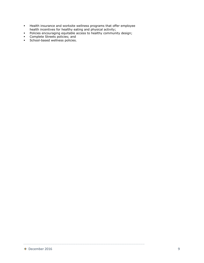- Health insurance and worksite wellness programs that offer employee health incentives for healthy eating and physical activity;
- Policies encouraging equitable access to healthy community design;
- **Complete Streets policies; and**
- **School-based wellness policies.**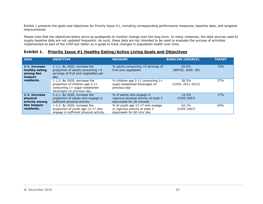Exhibit 1 presents the goals and objectives for Priority Issue #1, including corresponding performance measures, baseline data, and targeted improvements.

Please note that the objectives below serve as guideposts to monitor change over the long term. In many instances, the data sources used to supply baseline data are not updated frequently. As such, these data are not intended to be used to evaluate the success of activities implemented as part of the CHIP but rather as a guide to track changes in population health over time.

### **Exhibit 1. Priority Issue #1 Healthy Eating/Active Living Goals and Objectives**

| <b>GOAL</b>                                             | <b>OBJECTIVE</b>                                                                                                              | <b>MEASURE</b>                                                                                  | <b>BASELINE (SOURCE)</b>    | <b>TARGET</b> |
|---------------------------------------------------------|-------------------------------------------------------------------------------------------------------------------------------|-------------------------------------------------------------------------------------------------|-----------------------------|---------------|
| 1-1. Increase<br>healthy eating<br>among San<br>Joaquin | $1-1.1$ . By 2020, increase the<br>proportion of adults consuming >5<br>servings of fruit and vegetables per<br>day.          | % adults consuming >5 servings of<br>fruit and vegetables                                       | 65.6%<br>(BRFSS, 2005- 09)  | 72%           |
| residents.                                              | 1-1.2. By 2020, decrease the<br>proportion of children age 2-11<br>consuming 1+ sugar-sweetened<br>beverages on previous day. | % children age 2-11 consuming 1+<br>sugar-sweetened beverages on<br>previous day                | 38.3%<br>(CHIS, 2011-2012)  | 27%           |
| 1-2. Increase<br>physical<br>activity among             | 1-2.1. By 2020, increase the<br>proportion of adults who engage in<br>sufficient physical activity.                           | % of adults who engage in<br>vigorous physical activity at least 3<br>days/week for 20 minutes  | 14.2%<br>(CHIS 2007)        | 17%           |
| <b>San Joaquin</b><br>residents.                        | 1-2.2. By 2020, increase the<br>proportion of youth age 12-17 who<br>engage in sufficient physical activity.                  | % of youth age 12-17 who engage<br>in vigorous activity at least 3<br>days/week for 60 min/ day | 62.1%<br><i>(CHIS 2007)</i> | 65%           |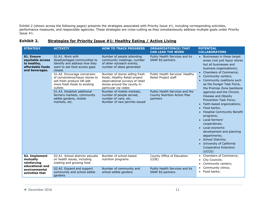Exhibit 2 (shown across the following pages) presents the strategies associated with Priority Issue #1, including corresponding activities, performance measures, and responsible agencies. These strategies are cross-cutting as they simultaneously address multiple goals under Priority  $I$ ssue  $#1$ .

### **Exhibit 2. Strategies for Priority Issue #1: Healthy Eating / Active Living**

| <b>STRATEGY</b>                                                                            | <b>ACTIVITY</b>                                                                                                                        | <b>HOW TO TRACK PROGRESS</b>                                                                                                                              | <b>ORGANIZATION(S) THAT</b><br><b>CAN LEAD THE WORK</b>                    | <b>POTENTIAL</b><br><b>COLLABORATORS</b>                                                                                                                                                                                                                                                                                                                                                                                                      |
|--------------------------------------------------------------------------------------------|----------------------------------------------------------------------------------------------------------------------------------------|-----------------------------------------------------------------------------------------------------------------------------------------------------------|----------------------------------------------------------------------------|-----------------------------------------------------------------------------------------------------------------------------------------------------------------------------------------------------------------------------------------------------------------------------------------------------------------------------------------------------------------------------------------------------------------------------------------------|
| <b>S1. Ensure</b><br>equitable access<br>to healthy,<br>affordable foods<br>and beverages. | S1.A1. Work with<br>disadvantaged communities to<br>identify and address how they<br>want to see food access gaps<br>closed.           | Number of people attending<br>community meetings, number<br>of other outreach events;<br>number of ideas generated                                        | Public Health Services and its<br>SNAP Ed partners                         | Businesses in these target<br>$\bullet$<br>areas (not just liquor stores<br>but all businesses and<br>business organizations);<br>Chambers of Commerce;<br>$\bullet$                                                                                                                                                                                                                                                                          |
|                                                                                            | S1.A2. Encourage conversion<br>of convenience/liquor stores to<br>sell fresh produce OR add<br>more fresh foods to existing<br>outlets | Number of stores selling fresh<br>foods; Healthy Retail project<br>observational surveys of retail<br>stores around the county in<br>particular zip codes | Public Health Services' Healthy<br>Retail Project staff                    | Community centers;<br>$\bullet$<br>Community coalitions such<br>$\bullet$<br>as the Hunger Task Force,<br>the Promise Zone backbone                                                                                                                                                                                                                                                                                                           |
|                                                                                            | S1.A3. Establish additional<br>farmers markets, community<br>edible gardens, mobile<br>markets, etc.                                   | Number of mobile markets,<br>number of people served,<br>number of vans, etc.<br>Number of new permits issued                                             | Public Health Services and the<br>County Nutrition Action Plan<br>partners | agencies and the Chronic<br>Disease and Obesity<br>Prevention Task Force;<br>Faith-based organizations;<br>$\bullet$<br>Food banks;<br>$\bullet$<br><b>Hospital Community Benefit</b><br>$\bullet$<br>programs;<br>Local farmers'<br>$\bullet$<br>cooperatives;<br>Local economic<br>$\bullet$<br>development and planning<br>departments;<br>• School Districts;<br>University of California<br>$\bullet$<br>Cooperative Extension<br>(UCCE) |
| <b>S2. Implement</b><br>mutually<br>reinforcing<br>educational and                         | S2.A1. School districts educate<br>on health issues, including<br>cooking and growing food                                             | Number of school-based<br>nutrition programs                                                                                                              | County Office of Education<br>(COE)                                        | Chambers of Commerce;<br>$\bullet$<br>City Councils;<br>$\bullet$<br>Community centers;<br>$\bullet$                                                                                                                                                                                                                                                                                                                                          |
| environmental<br>activities that                                                           | S2.A2. Expand and support<br>community and school edible<br>gardens                                                                    | Number of community and<br>school edible gardens                                                                                                          | Public Health Services and its<br>SNAP Ed partners                         | Community clinics;<br>٠<br>Food banks;<br>$\bullet$                                                                                                                                                                                                                                                                                                                                                                                           |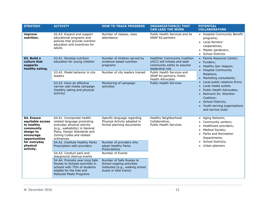| <b>STRATEGY</b>                                                                                      | <b>ACTIVITY</b>                                                                                                                                                                                   | <b>HOW TO TRACK PROGRESS</b>                                                                                       | <b>ORGANIZATION(S) THAT</b><br><b>CAN LEAD THE WORK</b>                                                                                                                                                    | <b>POTENTIAL</b><br><b>COLLABORATORS</b>                                                                                                                                                               |
|------------------------------------------------------------------------------------------------------|---------------------------------------------------------------------------------------------------------------------------------------------------------------------------------------------------|--------------------------------------------------------------------------------------------------------------------|------------------------------------------------------------------------------------------------------------------------------------------------------------------------------------------------------------|--------------------------------------------------------------------------------------------------------------------------------------------------------------------------------------------------------|
| improve<br>nutrition.                                                                                | S2.A3. Expand and support<br>educational programs and<br>policies that provide nutrition<br>education and incentives for<br>adults                                                                | Number of classes, class<br>attendance                                                                             | Public Health Services and its<br>SNAP Ed partners                                                                                                                                                         | • Hospital Community Benefit<br>programs;<br>• Local farmers'<br>cooperatives;<br>• Master gardeners;<br><b>School Districts</b>                                                                       |
| S3. Build a<br>culture that<br>supports<br>healthy eating.                                           | S3.A1. Develop nutrition<br>education for young children<br>S3.A2. Model behavior in city<br>leaders                                                                                              | Number of children served by<br>evidence-based nutrition<br>programs<br>Number of city leaders trained             | <b>Healthier Community Coalition</b><br>(HCC) will initiate and seek<br>community entity to assume<br>leadership role<br>Public Health Services and<br>SNAP Ed partners, Public<br><b>Health Advocates</b> | Family Resource Center;<br>• Funders;<br>• Healthy San Joaquin;<br><b>Hospital Community</b><br>$\bullet$<br>Relations;<br>Marketing consultants;<br>$\bullet$                                         |
|                                                                                                      | S3.A3. Have an effective<br>narrow cast media campaign<br>(healthy eating and physical<br>activity)                                                                                               | Monitoring of campaign<br>activities                                                                               | <b>Public Health Services</b>                                                                                                                                                                              | Local public relations firms;<br>Local media outlets<br>Public Health Advocates;<br>• Reinvent So. Stockton<br>Coalition;<br>• School Districts;<br>• Youth-serving organizations<br>and service clubs |
| S4. Ensure<br>equitable access<br>to healthy<br>community<br>design to<br>encourage<br>opportunities | S4.A1. Incorporate health-<br>related language promoting<br>everyday physical activity<br>(e.g., walkability) in General<br>Plans, Design Standards and<br>Zoning Codes and related<br>ordinances | Specific language regarding<br>Physical Activity adopted in<br>formal planning documents                           | Healthy Neighborhood<br>Collaborative;<br><b>Public Health Services</b>                                                                                                                                    | Aging Network;<br>$\bullet$<br>Community centers;<br>Healthcare providers;<br>Medical Society;<br>$\bullet$<br>Parks and Recreation<br>$\bullet$<br>Departments;<br>School Districts;                  |
| for everyday<br>physical<br>activity.                                                                | S4.A2. Institute Healthy Parks<br>Prescription with providers                                                                                                                                     | Number of providers who<br>adopt Healthy Parks<br>Prescriptions                                                    |                                                                                                                                                                                                            | Urban planners                                                                                                                                                                                         |
|                                                                                                      | S4.A3. Conduct park and<br>playground cleanup events                                                                                                                                              | Number of Events                                                                                                   |                                                                                                                                                                                                            |                                                                                                                                                                                                        |
|                                                                                                      | S4.A4. Promote year-long Safe<br>Routes to Schools activities in<br>schools with 75% of students<br>eligible for the free and<br><b>Reduced Meals Programs</b>                                    | Number of Safe Routes to<br>School ongoing activities<br>instituted (e.g., walking school<br>buses or bike trains) |                                                                                                                                                                                                            |                                                                                                                                                                                                        |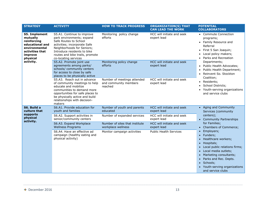| <b>STRATEGY</b>                                                                                                               | <b>ACTIVITY</b>                                                                                                                                                                                                                          | <b>HOW TO TRACK PROGRESS</b>                                    | <b>ORGANIZATION(S) THAT</b><br><b>CAN LEAD THE WORK</b> | <b>POTENTIAL</b><br><b>COLLABORATORS</b>                                                                                                                                                                                                                                                                                                 |
|-------------------------------------------------------------------------------------------------------------------------------|------------------------------------------------------------------------------------------------------------------------------------------------------------------------------------------------------------------------------------------|-----------------------------------------------------------------|---------------------------------------------------------|------------------------------------------------------------------------------------------------------------------------------------------------------------------------------------------------------------------------------------------------------------------------------------------------------------------------------------------|
| <b>S5. Implement</b><br>mutually<br>reinforcing<br>educational and<br>environmental<br>activities that<br>improve<br>physical | S5.A1. Continue to improve<br>park environments; expand<br>Safe Routes to School<br>activities; incorporate Safe<br>Neighborhoods for Seniors;<br>Introduce residents to bike<br>routes and bike trails, promote<br>co-locating services | Monitoring policy change<br>efforts                             | HCC will initiate and seek<br>expert lead               | • Commute Connection<br>programs;<br>• Family Resource and<br>Referral<br>First 5 San Joaquin;<br>Local policy makers;<br>Parks and Recreation                                                                                                                                                                                           |
| activity.                                                                                                                     | S5.A2. Promote joint use<br>agreements among parks/<br>schools/ community centers<br>for access to close by safe<br>places to be physically active                                                                                       | Monitoring policy change<br>efforts                             | HCC will initiate and seek<br>expert lead               | Departments;<br>Public Health Advocates;<br>Public Health Department;<br>Reinvent So. Stockton<br>Coalition;                                                                                                                                                                                                                             |
|                                                                                                                               | S5.A3. Reach out in advance<br>of community meetings to help<br>educate and mobilize<br>communities to demand more<br>opportunities for safe places to<br>be physically active and build<br>relationships with decision-<br>makers       | Number of meetings attended<br>and community members<br>reached | HCC will initiate and seek<br>expert lead               | Residents;<br>School Districts;<br>Youth-serving organizations<br>and service clubs                                                                                                                                                                                                                                                      |
| S6. Build a<br>culture that                                                                                                   | S6.A1. Provide education for<br>youth and families                                                                                                                                                                                       | Number of youth and parents<br>educated                         | HCC will initiate and seek<br>expert lead               | • Aging and Community<br>Services (community                                                                                                                                                                                                                                                                                             |
| <b>supports</b><br>physical<br>activity.                                                                                      | S6.A2. Support activities in<br>senior/community centers                                                                                                                                                                                 | Number of expanded services                                     | HCC will initiate and seek<br>expert lead               | centers);<br>• Community Partnerships                                                                                                                                                                                                                                                                                                    |
|                                                                                                                               | S6.A3. Expand Workplace<br><b>Wellness Programs</b>                                                                                                                                                                                      | Number of sites that institute<br>workplace wellness            | HCC will initiate and seek<br>expert lead               | for Families;<br>Chambers of Commerce;                                                                                                                                                                                                                                                                                                   |
|                                                                                                                               | S6.A4. Have an effective ad<br>campaign (healthy eating and<br>physical activity)                                                                                                                                                        | Monitor campaign activities                                     | <b>Public Health Services</b>                           | Employers;<br>$\bullet$<br>Funders;<br>$\bullet$<br>Healthcare workers;<br>$\bullet$<br>Hospitals;<br>$\bullet$<br>Local public relations firms;<br>$\bullet$<br>Local media outlets;<br>$\bullet$<br>• Marketing consultants;<br>Parks and Rec. Depts.<br>$\bullet$<br>• Schools;<br>• Youth-serving organizations<br>and service clubs |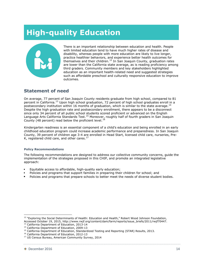# **High-quality Education**



There is an important relationship between education and health. People with limited education tend to have much higher rates of disease and disability, whereas people with more education are likely to live longer, practice healthier behaviors, and experience better health outcomes for themselves and their children.<sup>12</sup> In San Joaquin County, graduation rates are lower than the California state average, as is reading proficiency among third graders. Community members and key stakeholders highlighted education as an important health-related need and suggested strategies such as affordable preschool and culturally responsive education to improve outcomes.

### **Statement of need**

On average, 77 percent of San Joaquin County residents graduate from high school, compared to 81 percent in California.<sup>13</sup> Upon high school graduation, 72 percent of high school graduates enroll in a postsecondary institution within 16 months of graduation, which is similar to the state average.<sup>14</sup> Despite the high graduation rate and postsecondary enrollment, there appears to be a disconnect since only 34 percent of all public school students scored proficient or advanced on the English Language Arts California Standards Test.<sup>15</sup> Moreover, roughly half of fourth graders in San Joaquin County (48 percent) read below the proficient level.<sup>16</sup>

Kindergarten readiness is an essential component of a child's education and being enrolled in an early childhood education program could increase academic performance and preparedness. In San Joaquin County, 39 percent of children age 3-4 are enrolled in Head Start, licensed child care, nurseries, Pre-K, registered child care, and other cares.<sup>17</sup>

#### **Policy Recommendations**

The following recommendations are designed to address our collective community concerns, guide the implementation of the strategies proposed in this CHIP, and promote an integrated legislative approach:

- Equitable access to affordable, high-quality early education;
- Policies and programs that support families in preparing their children for school; and
- Policies and programs that prepare schools to better meet the needs of diverse student bodies.

 $12$  "Exploring the Social Determinants of Health: Education and Health," Robert Wood Johnson Foundation, Accessed October 19, 2015, http://www.rwjf.org/content/dam/farm/reports/issue\_briefs/2011/rwjf70447. <sup>13</sup> California Department of Education, 2013-14

<sup>&</sup>lt;sup>14</sup> California Department of Education, 2009-13

<sup>&</sup>lt;sup>15</sup> California Department of Education, Standardized Testing and Reporting (STAR) Results, 2013.

<sup>&</sup>lt;sup>16</sup> California Department of Education, 2012-13

<sup>&</sup>lt;sup>17</sup> US Census Bureau, American Community Survey, 2014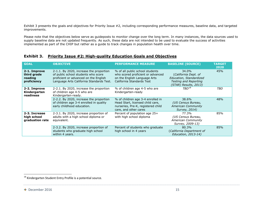Exhibit 3 presents the goals and objectives for Priority Issue #2, including corresponding performance measures, baseline data, and targeted improvements.

Please note that the objectives below serve as guideposts to monitor change over the long term. In many instances, the data sources used to supply baseline data are not updated frequently. As such, these data are not intended to be used to evaluate the success of activities implemented as part of the CHIP but rather as a guide to track changes in population health over time.

### **Exhibit 3. Priority Issue #2: High-quality Education Goals and Objectives**

| <b>GOAL</b>                                           | <b>OBJECTIVE</b>                                                                                                                                                    | <b>PERFORMANCE MEASURE</b>                                                                                                           | <b>BASELINE (SOURCE)</b>                                                                                          | <b>TARGET</b><br>2020 |
|-------------------------------------------------------|---------------------------------------------------------------------------------------------------------------------------------------------------------------------|--------------------------------------------------------------------------------------------------------------------------------------|-------------------------------------------------------------------------------------------------------------------|-----------------------|
| 2-1. Improve<br>third grade<br>reading<br>proficiency | 2-1.1. By 2020, increase the proportion<br>of public school students who score<br>proficient or advanced on the English<br>Language Arts California Standards Test. | % of all public school students<br>who scored proficient or advanced<br>on the English Language Arts<br>California Standards Test    | 34.0%<br>(California Dept. of<br>Education, Standardized<br><b>Testing and Reporting</b><br>(STAR) Results, 2013) | 45%                   |
| 2-2. Improve<br>Kindergarten<br>readiness             | 2-2.1. By 2020, increase the proportion<br>of children age 4-5 who are<br>Kindergarten-ready.                                                                       | % of children age 4-5 who are<br>Kindergarten-ready                                                                                  | $TRD^{18}$                                                                                                        | TBD                   |
|                                                       | 2-2.2. By 2020, increase the proportion<br>of children age 3-4 enrolled in quality<br>early childhood education.                                                    | % of children age 3-4 enrolled in<br>Head Start, licensed child care,<br>nurseries, Pre-K, registered child<br>care, and other cares | 38.6%<br>(US Census Bureau,<br>American Community<br>Survey, 2014)                                                | 48%                   |
| 2-3. Increase<br>high school<br>graduation rate       | 2-3.1. By 2020, increase proportion of<br>adults with a high school diploma or<br>equivalent.                                                                       | Percent of population age 25+<br>with high school diploma                                                                            | 77.3%<br>(US Census Bureau,<br>American Community<br>Survey, 2009-13)                                             | 85%                   |
|                                                       | 2-3.2. By 2020, increase proportion of<br>students who graduate high school<br>within 4 years.                                                                      | Percent of students who graduate<br>high school in 4 years                                                                           | 80.3%<br>(California Department of<br>Education, 2013-14)                                                         | 85%                   |

 $^{18}$  Kindergarten Student Entry Profile is a potential source.

 $\textcolor{red}{\bigstar}$  December 2016 15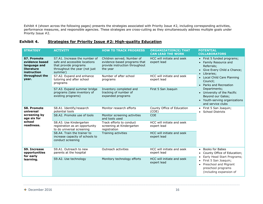Exhibit 4 (shown across the following pages) presents the strategies associated with Priority Issue #2, including corresponding activities, performance measures, and responsible agencies. These strategies are cross-cutting as they simultaneously address multiple goals under Priority Issue #2.

### **Exhibit 4. Strategies for Priority Issue #2: High-quality Education**

| <b>STRATEGY</b>                                                                   | <b>ACTIVITY</b>                                                                                                                     | <b>HOW TO TRACK PROGRESS</b>                                                                             | <b>ORGANIZATION(S) THAT</b><br><b>CAN LEAD THE WORK</b> | <b>POTENTIAL</b><br><b>COLLABORATORS</b>                                                                                                               |
|-----------------------------------------------------------------------------------|-------------------------------------------------------------------------------------------------------------------------------------|----------------------------------------------------------------------------------------------------------|---------------------------------------------------------|--------------------------------------------------------------------------------------------------------------------------------------------------------|
| <b>S7. Promote</b><br>evidence based<br>language and<br>literature<br>instruction | S7.A1. Increase the number of<br>safe and accessible locations<br>that provide programs<br>throughout the year (not just<br>summer) | Children served; Number of<br>evidence-based programs that<br>provide instruction throughout<br>the year | HCC will initiate and seek<br>expert lead               | • First 5 funded programs;<br>Family Resource and<br>$\bullet$<br>Referrals;<br>Give Every Child a Chance;<br>$\bullet$<br>Libraries;                  |
| throughout the<br>year.                                                           | S7.A2. Expand and enhance<br>tutoring and after school<br>programs                                                                  | Number of after school<br>programs                                                                       | HCC will initiate and seek<br>expert lead               | Local Child Care Planning<br>Council;<br>Parks and Recreation<br>$\bullet$                                                                             |
|                                                                                   | S7.A3. Expand summer bridge<br>programs (take inventory of<br>existing programs)                                                    | Inventory completed and<br>tracking of number of<br>expanded programs                                    | First 5 San Joaquin                                     | Departments;<br>University of the Pacific<br>$\bullet$<br>Beyond our Gates;<br>• Youth-serving organizations<br>and service clubs                      |
| S8. Promote<br>universal                                                          | S8.A1. Identify/research<br>potential tools                                                                                         | Monitor research efforts                                                                                 | County Office of Education<br>(COE)                     | First 5 San Joaquin;<br>$\bullet$<br><b>School Districts</b>                                                                                           |
| screening by<br>age six for                                                       | S8.A2. Promote use of tools                                                                                                         | Monitor screening activities<br>and tools used                                                           | <b>COE</b>                                              |                                                                                                                                                        |
| school<br>readiness.                                                              | S8.A3. Use Kindergarten<br>registration as an opportunity<br>to do universal screening                                              | Track efforts to conduct<br>screening at Kindergarten<br>registration                                    | HCC will initiate and seek<br>expert lead               |                                                                                                                                                        |
|                                                                                   | S8.A4. Train the trainer to<br>increase capacity of schools to<br>conduct screening                                                 | Training activities                                                                                      | HCC will initiate and seek<br>expert lead               |                                                                                                                                                        |
| S9. Increase<br>opportunities                                                     | S9.A1. Outreach to new<br>parents at the hospital                                                                                   | Outreach activities                                                                                      | HCC will initiate and seek<br>expert lead               | <b>Books for Babes</b><br>$\bullet$<br>County Office of Education;                                                                                     |
| for early<br>learning.                                                            | S9.A2. Use technology                                                                                                               | Monitory technology efforts                                                                              | HCC will initiate and seek<br>expert lead               | Early Head Start Programs;<br>First 5 San Joaquin;<br>$\bullet$<br>Preschool and Migrant<br>$\bullet$<br>preschool programs<br>(including expansion of |

 $\textcolor{red}{\bigstar}$  December 2016 16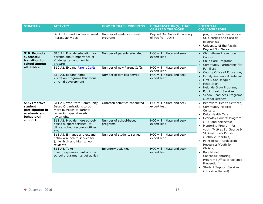| <b>STRATEGY</b>                                                                       | <b>ACTIVITY</b>                                                                                                                | <b>HOW TO TRACK PROGRESS</b>         | <b>ORGANIZATION(S) THAT</b><br><b>CAN LEAD THE WORK</b> | <b>POTENTIAL</b><br><b>COLLABORATORS</b>                                                                                                                                                                     |
|---------------------------------------------------------------------------------------|--------------------------------------------------------------------------------------------------------------------------------|--------------------------------------|---------------------------------------------------------|--------------------------------------------------------------------------------------------------------------------------------------------------------------------------------------------------------------|
|                                                                                       | S9.A3. Expand evidence-based<br>literacy activities                                                                            | Number of evidence-based<br>programs | Beyond Our Gates (University<br>of Pacific - UOP)       | programs with new sites at<br>St. Georges and Casa de<br>Esperanza;<br>• University of the Pacific<br>Beyond Our Gates                                                                                       |
| <b>S10. Promote</b><br>successful<br>transition to<br>school among                    | S10.A1. Provide education for<br>parents about importance of<br>Kindergarten and how to<br>prepare                             | Number of parents educated           | HCC will initiate and seek<br>expert lead               | • Child Abuse Prevention<br>Council;<br>• Child Care Programs;<br>Community Partnership for                                                                                                                  |
| all children.                                                                         | S10.A2. Expand Parent Cafés                                                                                                    | Number of new Parent Cafés           | HCC will initiate and seek<br>expert lead               | Families;<br>County Office of Education;                                                                                                                                                                     |
|                                                                                       | S10.A3. Expand home<br>visitation programs that focus<br>on child development                                                  | Number of families served            | HCC will initiate and seek<br>expert lead               | Family Resource & Referral;<br>First 5 San Joaquin;<br>Head Start;<br>$\bullet$<br>Help Me Grow Program;<br><b>Public Health Services;</b><br>$\bullet$<br>• School Readiness Programs<br>(School Districts) |
| S11. Improve<br>student<br>participation in<br>academic and<br>behavioral<br>support. | S11.A1. Work with Community<br>Based Organizations to do<br>more outreach to parents<br>regarding special needs<br>laws/rights | Outreach activities conducted        | HCC will initiate and seek<br>expert lead               | Behavioral Health Services;<br>• Community Medical<br>Centers;<br>• Delta Health Care;<br>Everyday Counts! Program                                                                                           |
|                                                                                       | S11.A2. Provide more school-<br>based support services (at<br>clinics, school resource offices,<br>$etc.$ )                    | Number of school-based<br>programs   | HCC will initiate and seek<br>expert lead               | (UOP and partners);<br>Mentoring Program for<br>youth 7-19 at St. George &                                                                                                                                   |
|                                                                                       | S11.A3. Enhance and expand<br>behavioral health service for<br>junior high and high school<br>students                         | Number of students served            | HCC will initiate and seek<br>expert lead               | St. Gertrude's Parish<br>(Catholic Charities);<br>Point Break (Adolescent<br>Resources/Youth for                                                                                                             |
|                                                                                       | <b>S11.A4. Take</b><br>inventory/assessment of after<br>school programs; target at risk                                        | Inventory activities                 | HCC will initiate and seek<br>expert lead               | Christ);<br>Role Model<br>Coaches/Mentoring<br>Program (Office of Violence<br>Prevention);<br><b>Student Support Services</b><br>(Stockton Unified)                                                          |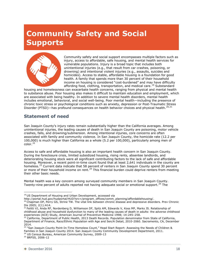# **Community Safety and Social Supports**



Community safety and social support encompasses multiple factors such as injury, access to affordable, safe housing, and mental health services for vulnerable populations. Injury is a broad topic that includes both unintentional injuries (e.g., that result from car crashes, poisoning, or drowning) and intentional violent injuries (e.g., assaults, suicides and homicides). Access to stable, affordable housing is a foundation for good health. A family that spends more than 30 percent of their household income on housing is considered "cost-burdened" and may have difficulty affording food, clothing, transportation, and medical care.<sup>19</sup> Substandard

housing and homelessness can exacerbate health concerns, ranging from physical and mental health to substance abuse. Poor housing also makes it difficult to maintain education and employment, which are associated with being healthy. In addition to severe mental health disorders, mental health includes emotional, behavioral, and social well-being. Poor mental health—including the presence of chronic toxic stress or psychological conditions such as anxiety, depression or Post-Traumatic Stress Disorder (PTSD)—has profound consequences on health behavior choices and physical health.<sup>20,21</sup>

### **Statement of need**

San Joaquin County's injury rates remain substantially higher than the California averages. Among unintentional injuries, the leading causes of death in San Joaquin County are poisoning, motor vehicle crashes, falls, and drowning/submersion. Among intentional injuries, core concerns are often associated with family and community violence. In San Joaquin County, the homicide rate (12.2 per 100,000) is much higher than California as a whole (5.2 per 100,000), particularly among men of color.<sup>22</sup>

Access to safe and affordable housing is also an important health concern in San Joaquin County. During the foreclosure crisis, limited subsidized housing, rising rents, absentee landlords, and deteriorating housing stock were all significant contributing factors to the lack of safe and affordable housing. Moreover, a recent point-in-time count found that at least 2,641 individuals in the county are homeless.<sup>23</sup> Current data indicate that 58 percent of renters in San Joaquin County spend 30 percent or more of their household income on rent.<sup>24</sup> This financial burden could deprive renters from meeting their other basic needs.

Mental health was a key concern among surveyed community members in San Joaquin County. Twenty-nine percent of adults reported not having adequate social or emotional support.<sup>25</sup> The

 $\overline{\phantom{a}}$ <sup>19</sup> US Department of Housing and Urban Development, accessed via

http://portal.hud.gov/hudportal/HUD?src=/program\_offices/comm\_planning/affordablehousing/.

<sup>&</sup>lt;sup>20</sup> Chapman DP, Perry GS, Strine TW. The vital link between chronic disease and depressive disorders. Prev Chronic Dis 2005; 2(1):A14.

<sup>&</sup>lt;sup>21</sup> Felitti VJ, Anda RF, Nordenberg D, Williamson DF, Spitz AM, Edwards V, Koss MP, Marks JS. Relationship of childhood abuse and household dysfunction to many of the leading causes of death in adults: the adverse childhood experiences (ACE) Study, American Journal of Preventive Medicine 1998; 14:245–258.

<sup>&</sup>lt;sup>22</sup> California, Department of Public Health, 2013 Death Records. Population denominator from State of California, Department of Finance, Race/Ethnic Population with Age and Sen/A Detail, 2010-2060. Sacramento, CA, December 2014.

<sup>23</sup> "San Joaquin County Point-In-Time Homeless Count," Head Start Report: Assessing the Needs of Children & Families in San Joaquin County 2014. San Joaquin County Community Development Department, 2011. <sup>24</sup> US Census Bureau, American Community Survey, 2009-13

<sup>25</sup> BRFSS, 2006-12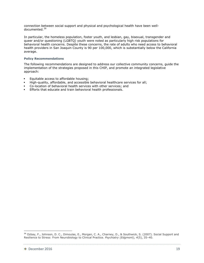connection between social support and physical and psychological health have been welldocumented.<sup>26</sup>

In particular, the homeless population, foster youth, and lesbian, gay, bisexual, transgender and queer and/or questioning (LGBTQ) youth were noted as particularly high risk populations for behavioral health concerns. Despite these concerns, the rate of adults who need access to behavioral health providers in San Joaquin County is 90 per 100,000, which is substantially below the California average.

#### **Policy Recommendations**

The following recommendations are designed to address our collective community concerns, guide the implementation of the strategies proposed in this CHIP, and promote an integrated legislative approach:

- Equitable access to affordable housing;
- High-quality, affordable, and accessible behavioral healthcare services for all;
- Co-location of behavioral health services with other services; and
- Efforts that educate and train behavioral health professionals.

<sup>&</sup>lt;sup>26</sup> Ozbay, F., Johnson, D. C., Dimoulas, E., Morgan, C. A., Charney, D., & Southwick, S. (2007). Social Support and Resilience to Stress: From Neurobiology to Clinical Practice. *Psychiatry (Edgmont)*, *4*(5), 35–40.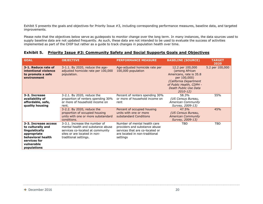Exhibit 5 presents the goals and objectives for Priority Issue #3, including corresponding performance measures, baseline data, and targeted improvements.

Please note that the objectives below serve as guideposts to monitor change over the long term. In many instances, the data sources used to supply baseline data are not updated frequently. As such, these data are not intended to be used to evaluate the success of activities implemented as part of the CHIP but rather as a guide to track changes in population health over time.

### **Exhibit 5. Priority Issue #3: Community Safety and Social Supports Goals and Objectives**

| <b>GOAL</b>                                                                                                                                  | <b>OBJECTIVE</b>                                                                                                                                                | <b>PERFORMANCE MEASURE</b>                                                                                                                     | <b>BASELINE (SOURCE)</b>                                                                                                                                                     | <b>TARGET</b><br>2020 |
|----------------------------------------------------------------------------------------------------------------------------------------------|-----------------------------------------------------------------------------------------------------------------------------------------------------------------|------------------------------------------------------------------------------------------------------------------------------------------------|------------------------------------------------------------------------------------------------------------------------------------------------------------------------------|-----------------------|
| 3-1. Reduce rate of<br>intentional violence<br>to promote a safe<br>environment                                                              | 3-1.1. By 2020, reduce the age-<br>adjusted homicide rate per 100,000<br>population.                                                                            | Age-adjusted homicide rate per<br>100,000 population                                                                                           | 12.2 per 100,000<br>(among African<br>Americans, rate is 35.8<br>per 100,000)<br>(California Department<br>of Public Health, CDPH -<br>Death Public Use Data<br>$2010 - 12)$ | 5.2 per 100,000       |
| 3-2. Increase<br>availability of<br>affordable, safe,<br>quality housing                                                                     | 3-2.1. By 2020, reduce the<br>proportion of renters spending 30%<br>or more of household income on<br>rent.                                                     | Percent of renters spending 30%<br>or more of household income on<br>rent                                                                      | 58.3%<br>(US Census Bureau,<br>American Community<br>Survey, 2009-13)                                                                                                        | 55%                   |
|                                                                                                                                              | 3-2.2. By 2020, reduce the<br>proportion of occupied housing<br>units with one or more substandard<br>conditions.                                               | Percent of occupied housing<br>units with one or more<br>substandard Conditions                                                                | 47.5%<br>(US Census Bureau,<br><b>American Community</b><br>Survey, 2009-13)                                                                                                 | 45%                   |
| 3-3. Increase access<br>to culturally and<br>linguistically<br>appropriate<br>behavioral health<br>services for<br>vulnerable<br>populations | 3-3.1. Increase the number of<br>mental health and substance abuse<br>services co-located at community<br>sites or are located in non-<br>traditional settings. | Number of mental health care<br>providers and substance abuse<br>services that are co-located or<br>are located in non-traditional<br>settings | TBD                                                                                                                                                                          | TBD                   |

 $\textcolor{red}{\bigstar}$  December 2016 20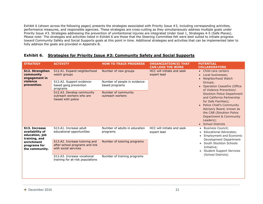Exhibit 6 (shown across the following pages) presents the strategies associated with Priority Issue #3, including corresponding activities, performance measures, and responsible agencies. These strategies are cross-cutting as they simultaneously address multiple goals under Priority Issue #3. Strategies addressing the prevention of unintentional injuries are integrated Under Goal 1, Strategies 4-5 (Safe Places). *Please note:* The strategies and activities listed in Exhibit 6 are those that the Steering Committee felt were best suited to initiate progress toward Community Safety and Social Supports goals at this point in time. Additional strategies and activities that can be implemented later to fully address the goals are provided in Appendix B.

### **Exhibit 6. Strategies for Priority Issue #3: Community Safety and Social Supports**

| <b>STRATEGY</b>                                                                                                     | <b>ACTIVITY</b>                                                                         | <b>HOW TO TRACK PROGRESS</b>                    | <b>ORGANIZATION(S) THAT</b><br><b>CAN LEAD THE WORK</b>                                                                                    | <b>POTENTIAL</b><br><b>COLLABORATORS</b>                                                                                                                                                                                                       |  |  |  |
|---------------------------------------------------------------------------------------------------------------------|-----------------------------------------------------------------------------------------|-------------------------------------------------|--------------------------------------------------------------------------------------------------------------------------------------------|------------------------------------------------------------------------------------------------------------------------------------------------------------------------------------------------------------------------------------------------|--|--|--|
| <b>S12. Strengthen</b><br>community<br>engagement in<br>violence<br>prevention.                                     | S12.A1. Expand neighborhood<br>watch groups                                             | Number of new groups                            | HCC will initiate and seek<br>expert lead<br>$\bullet$<br>$\bullet$<br>$\bullet$<br>$\bullet$<br>HCC will initiate and seek<br>expert lead | • Child-care centers<br>Local businesses;<br>Neighborhood Watch                                                                                                                                                                                |  |  |  |
|                                                                                                                     | S12.A2. Support evidence-<br>based gang prevention<br>programs                          | Number of people in evidence-<br>based programs |                                                                                                                                            | Groups;<br><b>Operation Ceasefire (Office</b><br>of Violence Prevention/                                                                                                                                                                       |  |  |  |
|                                                                                                                     | S12.A3. Develop community<br>outreach workers who are<br>liaised with police            | Number of community<br>outreach workers         |                                                                                                                                            | <b>Stockton Police Department</b><br>and California Partnership<br>for Safe Families);<br><b>Police Chief's Community</b><br>Advisory Board, known as<br>the CAB (Stockton Police<br>Department & Community<br>Leaders);<br>• School Districts |  |  |  |
| S13. Increase<br>availability of<br>education, job<br>training, and<br>enrichment<br>programs for<br>the community. | S13.A1. Increase adult<br>educational opportunities                                     | Number of adults in education<br>programs       |                                                                                                                                            | <b>Business Council;</b><br><b>Educational Advocates;</b><br><b>Employment and Economic</b><br>Development Department<br>South Stockton Schools<br>Initiative:<br><b>Student Support Services</b>                                              |  |  |  |
|                                                                                                                     | S13.A2. Increase tutoring and<br>after-school programs and link<br>with social services | Number of tutoring programs                     |                                                                                                                                            |                                                                                                                                                                                                                                                |  |  |  |
|                                                                                                                     | S13.A3. Increase vocational<br>training for at-risk populations                         | Number of training programs                     |                                                                                                                                            | (School Districts)                                                                                                                                                                                                                             |  |  |  |
|                                                                                                                     |                                                                                         |                                                 |                                                                                                                                            |                                                                                                                                                                                                                                                |  |  |  |

 $\textcolor{red}{\bigstar}$  December 2016 21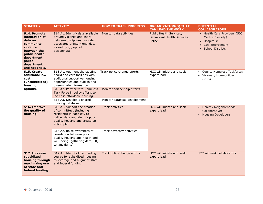| <b>STRATEGY</b>                                                                                                                                                     | <b>ACTIVITY</b>                                                                                                                                                                                                                                                | <b>HOW TO TRACK PROGRESS</b>                               | <b>ORGANIZATION(S) THAT</b><br><b>CAN LEAD THE WORK</b>          | <b>POTENTIAL</b><br><b>COLLABORATORS</b>                                                                                            |
|---------------------------------------------------------------------------------------------------------------------------------------------------------------------|----------------------------------------------------------------------------------------------------------------------------------------------------------------------------------------------------------------------------------------------------------------|------------------------------------------------------------|------------------------------------------------------------------|-------------------------------------------------------------------------------------------------------------------------------------|
| <b>S14. Promote</b><br>integration of<br>data on<br>community<br>violence<br>between the<br>public health<br>department,<br>police<br>department,<br>and hospitals. | S14.A1. Identify data available<br>around violence and share<br>between disciplines; include<br>associated unintentional data<br>as well (e.g., opioid<br>poisonings)                                                                                          | Monitor data activities                                    | Public Health Services,<br>Behavioral Health Services,<br>Police | • Health Care Providers (SJC<br><b>Medical Society)</b><br>• Hospitals;<br>Law Enforcement;<br>$\bullet$<br><b>School Districts</b> |
| S15. Create<br>additional low-<br>cost<br>(unsubsidized)<br>housing<br>options.                                                                                     | S15.A1. Augment the existing<br>board and care facilities with<br>additional supportive housing<br>opportunities and publish and<br>disseminate information<br>S15.A2. Partner with Homeless<br>Task Force in policy efforts to<br>increase affordable housing | Track policy change efforts<br>Monitor partnership efforts | HCC will initiate and seek<br>expert lead                        | • County Homeless Taskforce;<br>• Visionary Homebuilder<br>(VHB)                                                                    |
|                                                                                                                                                                     | S15.A3. Develop a shared<br>housing database                                                                                                                                                                                                                   | Monitor database development                               |                                                                  |                                                                                                                                     |
| <b>S16. Improve</b><br>the quality of<br>housing.                                                                                                                   | S16.A1. Support the creation<br>of committees (including<br>residents) in each city to<br>gather data and identify poor<br>quality housing and create an<br>action plan                                                                                        | <b>Track activities</b>                                    | HCC will initiate and seek<br>expert lead                        | • Healthy Neighborhoods<br>Collaborative;<br>• Housing Developers                                                                   |
|                                                                                                                                                                     | S16.A2. Raise awareness of<br>correlation between poor<br>quality housing and health and<br>well-being (gathering data, PR,<br>tenant rights)                                                                                                                  | Track advocacy activities                                  |                                                                  |                                                                                                                                     |
| S17. Increase<br>subsidized<br>housing through<br>maximizing use<br>of state and<br>federal funding.                                                                | S17.A1. Identify local funding<br>source for subsidized housing<br>to leverage and augment state<br>and federal funding                                                                                                                                        | Track policy change efforts                                | HCC will initiate and seek<br>expert lead                        | <b>HCC will seek collaborators</b>                                                                                                  |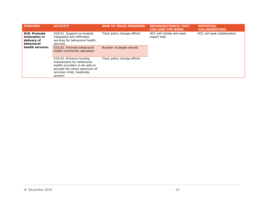| <b>STRATEGY</b>                                                                       | <b>ACTIVITY</b>                                                                                                                                                 | <b>HOW TO TRACK PROGRESS</b> | <b>ORGANIZATION(S) THAT</b><br><b>CAN LEAD THE WORK</b>                  | <b>POTENTIAL</b><br><b>COLLABORATORS</b> |
|---------------------------------------------------------------------------------------|-----------------------------------------------------------------------------------------------------------------------------------------------------------------|------------------------------|--------------------------------------------------------------------------|------------------------------------------|
| <b>S18. Promote</b><br>innovation in<br>delivery of<br>behavioral<br>health services. | S18.A1. Support co-located,<br>integrated and infiltrated<br>services for behavioral health<br>services                                                         | Track policy change efforts  | HCC will initiate and seek<br>HCC will seek collaborators<br>expert lead |                                          |
|                                                                                       | S18.A2. Promote behavioral<br>health community education                                                                                                        | Number of people served      |                                                                          |                                          |
|                                                                                       | S18.A3. Enhance funding<br>mechanisms for behavioral<br>health providers to be able to<br>provide the whole spectrum of<br>services (mild, moderate,<br>severe) | Track policy change efforts  |                                                                          |                                          |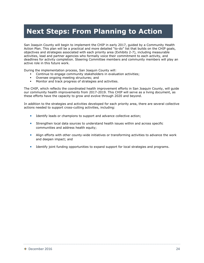## **Next Steps: From Planning to Action**

San Joaquin County will begin to implement the CHIP in early 2017, guided by a Community Health Action Plan. This plan will be a practical and more detailed "to-do" list that builds on the CHIP goals, objectives and strategies associated with each priority area (Exhibits 2-7), including measurable activities, lead and partner agencies who formally voice their commitment to each activity, and deadlines for activity completion. Steering Committee members and community members will play an active role in this future work.

During the implementation process, San Joaquin County will:

- Continue to engage community stakeholders in evaluation activities;<br>• Oversee ongoing meeting structures: and
- Oversee ongoing meeting structures; and
- Monitor and track progress of strategies and activities.

The CHIP, which reflects the coordinated health improvement efforts in San Joaquin County, will guide our community health improvements from 2017-2019. This CHIP will serve as a living document, as these efforts have the capacity to grow and evolve through 2020 and beyond.

In addition to the strategies and activities developed for each priority area, there are several collective actions needed to support cross-cutting activities, including:

- **IDENTIFY LEADS** or champions to support and advance collective action;
- Strengthen local data sources to understand health issues within and across specific communities and address health equity;
- Align efforts with other county-wide initiatives or transforming activities to advance the work and deepen impact; and
- **IDENTIFY 19 IDENTIFY 10 IN THE IDENTIFY IDENTIFY IS EXP** IDENTIFY 10 IDENTIFY 10 IDENTIFY 10 IDENTIFY 10 IDENTIF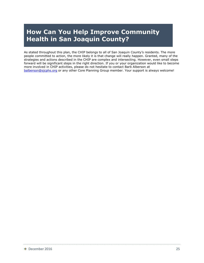## **How Can You Help Improve Community Health in San Joaquin County?**

As stated throughout this plan, the CHIP belongs to all of San Joaquin County's residents. The more people committed to action, the more likely it is that change will really happen. Granted, many of the strategies and actions described in the CHIP are complex and intersecting. However, even small steps forward will be significant steps in the right direction. If you or your organization would like to become more involved in CHIP activities, please do not hesitate to contact Barb Alberson at [balberson@sjcphs.org](mailto:balberson@sjcphs.org) or any other Core Planning Group member. Your support is always welcome!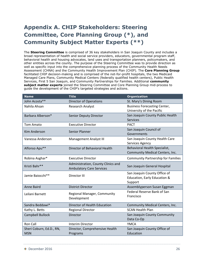## **Appendix A. CHIP Stakeholders: Steering Committee, Core Planning Group (\*), and Community Subject Matter Experts (\*\*)**

The **Steering Committee** is comprised of 36 key stakeholders in San Joaquin County and includes a broad representation of health and social service providers, educators, governmental program staff, behavioral health and housing advocates, land uses and transportation planners, policymakers, and other entities across the county. The purpose of the Steering Committee was to provide direction as well as specific input into the comprehensive planning process of the Community Health Needs Assessment (CHNA) and the Community Health Improvement Plan (CHIP). The **Core Planning Group** facilitated CHIP decision-making and is comprised of the not-for-profit hospitals, the two Medicaid Managed Care Plans, Community Medical Centers (federally qualified health centers), Public Health Services, First 5 San Joaquin, and Community Partnerships for Families. Additional **community subject matter experts** joined the Steering Committee and Core Planning Group mid-process to guide the development of the CHIP's targeted strategies and actions.

| <b>Name</b>                            | <b>Title</b>                                                          | <b>Organization</b>                                                     |
|----------------------------------------|-----------------------------------------------------------------------|-------------------------------------------------------------------------|
| John Acosta**                          | Director of Operations                                                | St. Mary's Dining Room                                                  |
| Nahila Ahsan                           | <b>Research Analyst</b>                                               | <b>Business Forecasting Center,</b><br>University of the Pacific        |
| Barbara Alberson*                      | Senior Deputy Director                                                | San Joaquin County Public Health<br><b>Services</b>                     |
| <b>Tom Amato</b>                       | <b>Executive Director</b>                                             | <b>PACT</b>                                                             |
| <b>Kim Anderson</b>                    | <b>Senior Planner</b>                                                 | San Joaquin Council of<br>Governments                                   |
| Vanessa Anderson                       | Management Analyst III                                                | San Joaquin County Health Care<br>Services Agency                       |
| Alfonso Apu**                          | Director of Behavioral Health                                         | Behavioral Health Specialist,<br>Community Medical Centers, Inc.        |
| Robina Asghar*                         | <b>Executive Director</b>                                             | <b>Community Partnership for Families</b>                               |
| Kristi Bahr**                          | Administration, County Clinics and<br><b>Ambulatory Care Services</b> | San Joaquin General Hospital                                            |
| Jamie Baiocchi**                       | Director III                                                          | San Joaquin County Office of<br>Education, Early Education &<br>Support |
| Anne Baird                             | <b>District Director</b>                                              | Assemblyperson Susan Eggman                                             |
| Leilani Barnett                        | Regional Manager, Community<br>Development                            | Federal Reserve Bank of San<br>Francisco                                |
| Sandra Beddawi*                        | <b>Director of Health Education</b>                                   | Community Medical Centers, Inc.                                         |
| Kathy L. Betts                         | <b>Regional Director</b>                                              | <b>SCAN Health Plan</b>                                                 |
| <b>Campbell Bullock</b>                | Director                                                              | San Joaquin County Community<br>Data Co-Op                              |
| Ron Call                               | <b>Interim Director</b>                                               | <b>YMCA</b>                                                             |
| Sheri Coburn, Ed.D., RN,<br><b>MSN</b> | Director, Comprehensive Health<br>Programs                            | San Joaquin County Office of<br>Education                               |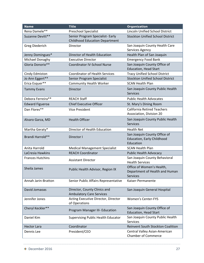| <b>Name</b>                       | <b>Title</b>                                                     | <b>Organization</b>                                                             |
|-----------------------------------|------------------------------------------------------------------|---------------------------------------------------------------------------------|
| Rena Damele**                     | <b>Preschool Specialist</b>                                      | Lincoln Unified School District                                                 |
| Suzanne Devitt**                  | Senior Program Specialist- Early                                 | <b>Stockton Unified School District</b>                                         |
|                                   | <b>Childhood Education Department</b>                            |                                                                                 |
| <b>Greg Diederich</b>             | Director                                                         | San Joaquin County Health Care                                                  |
|                                   |                                                                  | Services Agency                                                                 |
| Jenny Dominguez*                  | Director of Health Education                                     | Health Plan of San Joaquin                                                      |
| Michael Donaghy                   | <b>Executive Director</b>                                        | <b>Emergency Food Bank</b>                                                      |
| Gloria Donorio**                  | <b>Coordinator IV-School Nurse</b>                               | San Joaquin County Office of                                                    |
|                                   | <b>Coordinator of Health Services</b>                            | <b>Education, Head Start</b>                                                    |
| Cindy Edmiston                    |                                                                  | <b>Tracy Unified School District</b><br><b>Stockton Unified School District</b> |
| Jo Ann Eggert**<br>Erica Esquer** | Senior Program Specialist<br><b>Community Health Worker</b>      | <b>SCAN Health Plan</b>                                                         |
|                                   |                                                                  |                                                                                 |
| <b>Tammy Evans</b>                | Director                                                         | San Joaquin County Public Health<br><b>Services</b>                             |
| Debora Ferreira**                 | <b>REACH Staff</b>                                               | <b>Public Health Advocates</b>                                                  |
| <b>Edward Figueroa</b>            | <b>Chief Executive Officer</b>                                   | St. Mary's Dining Room                                                          |
| Dan Flores**                      | <b>Vice President</b>                                            | <b>California Retired Teachers</b>                                              |
|                                   |                                                                  | Association, Division 20                                                        |
| Alvaro Garza, MD                  | <b>Health Officer</b>                                            | San Joaquin County Public Health                                                |
|                                   |                                                                  | <b>Services</b>                                                                 |
| Martha Geraty*                    | Director of Health Education                                     | <b>Health Net</b>                                                               |
| Brandi Harrold**                  | Director I                                                       | San Joaquin County Office of                                                    |
|                                   |                                                                  | Education, Early Childhood                                                      |
| Anita Harrold                     |                                                                  | Education<br><b>SCAN Health Plan</b>                                            |
| LaCresia Hawkins                  | <b>Medical Management Specialist</b><br><b>REACH Coordinator</b> |                                                                                 |
| <b>Frances Hutchins</b>           |                                                                  | Public Health Advocacy<br>San Joaquin County Behavioral                         |
|                                   | <b>Assistant Director</b>                                        | <b>Health Services</b>                                                          |
| Sheila James                      |                                                                  | Office of Women's Health,                                                       |
|                                   | Public Health Advisor, Region IX                                 | Department of Health and Human                                                  |
|                                   |                                                                  | <b>Services</b>                                                                 |
| Annah Jarin-Bratton               | Senior Public Affairs Representative                             | Kaiser-Permanente                                                               |
|                                   |                                                                  |                                                                                 |
| David Jomaoas                     | Director, County Clinics and                                     | San Joaquin General Hospital                                                    |
|                                   | <b>Ambulatory Care Services</b>                                  |                                                                                 |
| Jennifer Jones                    | Acting Executive Director, Director<br>of Operations             | <b>Women's Center-FYS</b>                                                       |
| Cheryl Keckler**                  |                                                                  | San Joaquin County Office of                                                    |
|                                   | Program Manager III- Education                                   | <b>Education, Head Start</b>                                                    |
| Daniel Kim                        | <b>Supervising Public Health Educator</b>                        | San Joaquin County Public Health                                                |
|                                   |                                                                  | <b>Services</b>                                                                 |
| <b>Hector Lara</b>                | Coordinator                                                      | Reinvent South Stockton Coalition                                               |
| Dennis Lee                        | President/CEO                                                    | Central Valley Asian-American                                                   |
|                                   |                                                                  | <b>Chamber of Commerce</b>                                                      |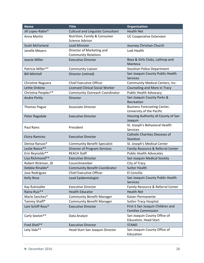| <b>Name</b>              | <b>Title</b>                                            | <b>Organization</b>                                              |
|--------------------------|---------------------------------------------------------|------------------------------------------------------------------|
| Jill Lopez-Rabin*        | <b>Cultural and Linguistic Consultant</b>               | <b>Health Net</b>                                                |
| Anna Martin              | Nutrition, Family & Consumer<br><b>Science Advisor</b>  | <b>UC Cooperative Extension</b>                                  |
| <b>Scott McFarland</b>   | <b>Lead Minister</b>                                    | Journey Christian Church                                         |
| Janelle Meyers           | Director of Marketing and<br><b>Community Relations</b> | Lodi Health                                                      |
| Jeanie Miller            | <b>Executive Director</b>                               | Boys & Girls Clubs, Lathrop and<br>Manteca                       |
| Patricia Miller**        | <b>Community Liaison</b>                                | <b>Stockton Police Department</b>                                |
| <b>Bill Mitchell</b>     | Director (retired)                                      | San Joaquin County Public Health<br><b>Services</b>              |
| <b>Christine Noguera</b> | <b>Chief Executive Officer</b>                          | Community Medical Centers, Inc.                                  |
| Lettie Ordone            | <b>Licensed Clinical Social Worker</b>                  | Counseling and More in Tracy                                     |
| Christina Peoples**      | <b>Community Outreach Coordinator</b>                   | <b>Public Health Advocacy</b>                                    |
| Andre Pichly             | <b>Director</b>                                         | San Joaquin County Parks &<br>Recreation                         |
| <b>Thomas Pogue</b>      | <b>Associate Director</b>                               | <b>Business Forecasting Center,</b><br>University of the Pacific |
| Peter Ragsdale           | <b>Executive Director</b>                               | Housing Authority of County of San<br>Joaquin                    |
| <b>Paul Rains</b>        | President                                               | St. Joseph's Behavioral Health<br><b>Services</b>                |
| Elvira Ramirez           | <b>Executive Director</b>                               | <b>Catholic Charities Dioceses of</b><br>Stockton                |
| Denise Ranuio*           | <b>Community Benefit Specialist</b>                     | St. Joseph's Medical Center                                      |
| Leslie Reece**           | Director of Program Services                            | Family Resource & Referral Center                                |
| Erin Reynolds**          | <b>REACH Staff</b>                                      | <b>Public Health Advocates</b>                                   |
| Lisa Richmond**          | <b>Executive Director</b>                               | San Joaquin Medical Society                                      |
| Robert Rickman, JD       | Councilmember                                           | City of Tracy                                                    |
| Debbie Rinaldo*          | <b>Community Benefit Coordinator</b>                    | <b>Sutter Health</b>                                             |
| Jose Rodriguez           | <b>Chief Executive Officer</b>                          | El Concilio                                                      |
| <b>Kelly Rose</b>        | Lead Epidemiologist                                     | San Joaquin County Public Health<br><b>Services</b>              |
| Kay Ruhstaller           | <b>Executive Director</b>                               | Family Resource & Referral Center                                |
| Raina Ruiz**             | <b>Health Educator</b>                                  | <b>Health Net</b>                                                |
| Marie Sanchez*           | <b>Community Benefit Manager</b>                        | Kaiser-Permanente                                                |
| Tammy Shaff*             | <b>Community Benefit Manager</b>                        | Sutter-Tracy Hospital                                            |
| Lani Schiff-Ross*        | <b>Executive Director</b>                               | First 5 San Joaquin Children and<br><b>Families Commission</b>   |
| Carly Sexton**           | Data Analyst                                            | San Joaquin County Office of<br><b>Education, Head Start</b>     |
| Fred Sheil**             | <b>Executive Director</b>                               | <b>STAND</b>                                                     |
| Lety Sida**              | Head Start San Joaquin Director                         | San Joaquin County Office of<br>Education                        |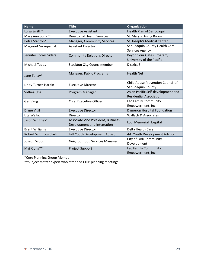| <b>Name</b>                 | <b>Title</b>                        | <b>Organization</b>                |  |
|-----------------------------|-------------------------------------|------------------------------------|--|
| Luisa Smith*                | <b>Executive Assistant</b>          | Health Plan of San Joaquin         |  |
| Mary Ann Soria**            | Director of Health Services         | St. Mary's Dining Room             |  |
| Petra Stanton*              | <b>Manager, Community Services</b>  | St. Joseph's Medical Center        |  |
| Margaret Szczepaniak        | <b>Assistant Director</b>           | San Joaquin County Health Care     |  |
|                             |                                     | Services Agency                    |  |
| Jennifer Torres Siders      | <b>Community Relations Director</b> | Beyond our Gates Program,          |  |
|                             |                                     | University of the Pacific          |  |
| <b>Michael Tubbs</b>        | <b>Stockton City Councilmember</b>  | District 6                         |  |
|                             |                                     |                                    |  |
| Jane Tunay*                 | Manager, Public Programs            | <b>Health Net</b>                  |  |
|                             |                                     | Child Abuse Prevention Council of  |  |
| Lindy Turner-Hardin         | <b>Executive Director</b>           | San Joaquin County                 |  |
| Sothea Ung                  | Program Manager                     | Asian Pacific Self-development and |  |
|                             |                                     | <b>Residential Association</b>     |  |
| Ger Vang                    | <b>Chief Executive Officer</b>      | Lao Family Community               |  |
|                             |                                     | Empowerment, Inc.                  |  |
| Diane Vigil                 | <b>Executive Director</b>           | Dameron Hospital Foundation        |  |
| Lita Wallach                | Director                            | Wallach & Associates               |  |
| Jason Whitney*              | Associate Vice President, Business  | Lodi Memorial Hospital             |  |
|                             | Development and Integration         |                                    |  |
| <b>Brent Williams</b>       | <b>Executive Director</b>           | Delta Health Care                  |  |
| <b>Robert Withrow-Clark</b> | 4-H Youth Development Advisor       | 4-H Youth Development Advisor      |  |
| Joseph Wood                 | Neighborhood Services Manager       | City of Lodi Community             |  |
|                             |                                     | Development                        |  |
| Mai Xiong**                 | <b>Project Support</b>              | Lao Family Community               |  |
|                             |                                     | Empowerment, Inc.                  |  |

\*Core Planning Group Member

\*\*Subject matter expert who attended CHIP planning meetings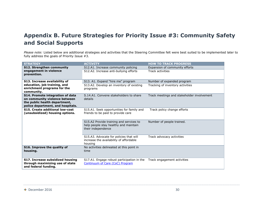### **Appendix B. Future Strategies for Priority Issue #3: Community Safety and Social Supports**

*Please note:* Listed below are additional strategies and activities that the Steering Committee felt were best suited to be implemented later to fully address the goals of Priority Issue #3.

| <b>STRATEGY</b>                                                                                                                         | <b>ACTIVITY</b>                                                                                        | <b>HOW TO TRACK PROGRESS</b>               |
|-----------------------------------------------------------------------------------------------------------------------------------------|--------------------------------------------------------------------------------------------------------|--------------------------------------------|
| <b>S12. Strengthen community</b>                                                                                                        | S12.A1. Increase community policing                                                                    | Expansion of community efforts             |
| engagement in violence<br>prevention.                                                                                                   | S12.A2. Increase anti-bullying efforts                                                                 | <b>Track activities</b>                    |
| S13. Increase availability of                                                                                                           | S13. A1. Expand "hire me" program                                                                      | Number of expanded program                 |
| education, job training, and<br>enrichment programs for the<br>community.                                                               | S13.A2. Develop an inventory of existing<br>programs                                                   | Tracking of inventory activities           |
| S14. Promote integration of data<br>on community violence between<br>the public health department,<br>police department, and hospitals. | S.14.A1. Convene stakeholders to share<br>details                                                      | Track meetings and stakeholder involvement |
| S15. Create additional low-cost<br>(unsubsidized) housing options.                                                                      | S15.A1. Seek opportunities for family and<br>friends to be paid to provide care                        | Track policy change efforts                |
|                                                                                                                                         | S15.A2 Provide training and services to<br>help people stay healthy and maintain<br>their independence | Number of people trained.                  |
|                                                                                                                                         | S15.A3. Advocate for policies that will<br>increase the availability of affordable<br>housing          | Track advocacy activities                  |
| S16. Improve the quality of<br>housing.                                                                                                 | No activities delineated at this point in<br>time                                                      |                                            |
| S17. Increase subsidized housing<br>through maximizing use of state<br>and federal funding.                                             | S17.A1. Engage robust participation in the<br>Continuum of Care (CoC) Program                          | Track engagement activities                |